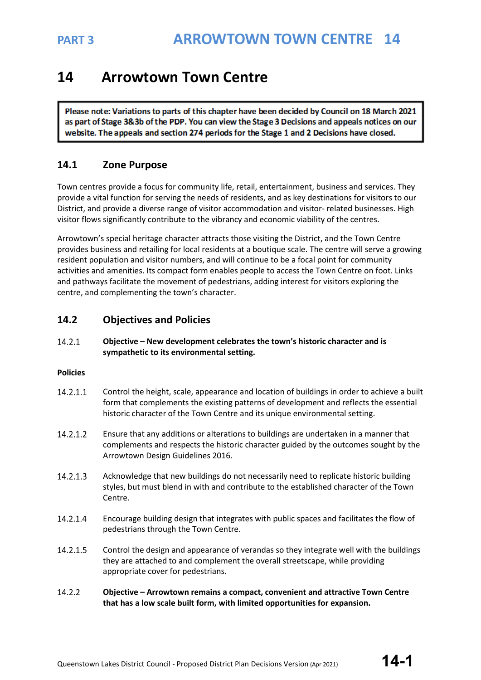## **14 Arrowtown Town Centre**

Please note: Variations to parts of this chapter have been decided by Council on 18 March 2021 as part of Stage 3&3b of the PDP. You can view the Stage 3 Decisions and appeals notices on our website. The appeals and section 274 periods for the Stage 1 and 2 Decisions have closed.

## **14.1 Zone Purpose**

Town centres provide a focus for community life, retail, entertainment, business and services. They provide a vital function for serving the needs of residents, and as key destinations for visitors to our District, and provide a diverse range of visitor accommodation and visitor- related businesses. High visitor flows significantly contribute to the vibrancy and economic viability of the centres.

Arrowtown's special heritage character attracts those visiting the District, and the Town Centre provides business and retailing for local residents at a boutique scale. The centre will serve a growing resident population and visitor numbers, and will continue to be a focal point for community activities and amenities. Its compact form enables people to access the Town Centre on foot. Links and pathways facilitate the movement of pedestrians, adding interest for visitors exploring the centre, and complementing the town's character.

## **14.2 Objectives and Policies**

#### 14.2.1 **Objective – New development celebrates the town's historic character and is sympathetic to its environmental setting.**

### **Policies**

- 14.2.1.1 Control the height, scale, appearance and location of buildings in order to achieve a built form that complements the existing patterns of development and reflects the essential historic character of the Town Centre and its unique environmental setting.
- 14.2.1.2 Ensure that any additions or alterations to buildings are undertaken in a manner that complements and respects the historic character guided by the outcomes sought by the Arrowtown Design Guidelines 2016.
- $14.2.1.3$ Acknowledge that new buildings do not necessarily need to replicate historic building styles, but must blend in with and contribute to the established character of the Town Centre.
- 14.2.1.4 Encourage building design that integrates with public spaces and facilitates the flow of pedestrians through the Town Centre.
- 14.2.1.5 Control the design and appearance of verandas so they integrate well with the buildings they are attached to and complement the overall streetscape, while providing appropriate cover for pedestrians.
- **Objective Arrowtown remains a compact, convenient and attractive Town Centre**  14.2.2 **that has a low scale built form, with limited opportunities for expansion.**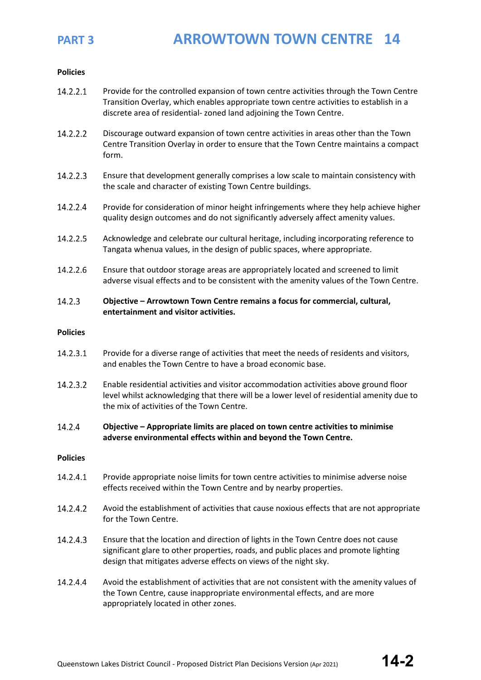### **Policies**

- 14.2.2.1 Provide for the controlled expansion of town centre activities through the Town Centre Transition Overlay, which enables appropriate town centre activities to establish in a discrete area of residential- zoned land adjoining the Town Centre.
- 14.2.2.2 Discourage outward expansion of town centre activities in areas other than the Town Centre Transition Overlay in order to ensure that the Town Centre maintains a compact form.
- 14.2.2.3 Ensure that development generally comprises a low scale to maintain consistency with the scale and character of existing Town Centre buildings.
- 14.2.2.4 Provide for consideration of minor height infringements where they help achieve higher quality design outcomes and do not significantly adversely affect amenity values.
- 14.2.2.5 Acknowledge and celebrate our cultural heritage, including incorporating reference to Tangata whenua values, in the design of public spaces, where appropriate.
- 14.2.2.6 Ensure that outdoor storage areas are appropriately located and screened to limit adverse visual effects and to be consistent with the amenity values of the Town Centre.

#### 14.2.3 **Objective – Arrowtown Town Centre remains a focus for commercial, cultural, entertainment and visitor activities.**

### **Policies**

- 14.2.3.1 Provide for a diverse range of activities that meet the needs of residents and visitors, and enables the Town Centre to have a broad economic base.
- 14.2.3.2 Enable residential activities and visitor accommodation activities above ground floor level whilst acknowledging that there will be a lower level of residential amenity due to the mix of activities of the Town Centre.
- 14.2.4 **Objective – Appropriate limits are placed on town centre activities to minimise adverse environmental effects within and beyond the Town Centre.**

### **Policies**

- 14.2.4.1 Provide appropriate noise limits for town centre activities to minimise adverse noise effects received within the Town Centre and by nearby properties.
- 14.2.4.2 Avoid the establishment of activities that cause noxious effects that are not appropriate for the Town Centre.
- 14.2.4.3 Ensure that the location and direction of lights in the Town Centre does not cause significant glare to other properties, roads, and public places and promote lighting design that mitigates adverse effects on views of the night sky.
- 14.2.4.4 Avoid the establishment of activities that are not consistent with the amenity values of the Town Centre, cause inappropriate environmental effects, and are more appropriately located in other zones.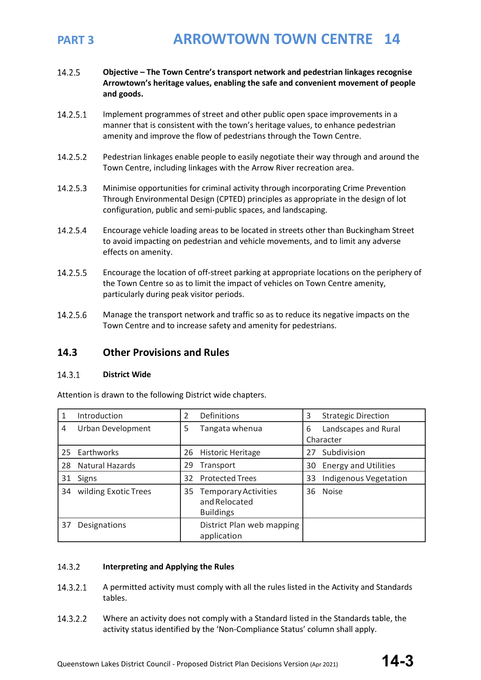- 14.2.5 **Objective – The Town Centre's transport network and pedestrian linkages recognise Arrowtown's heritage values, enabling the safe and convenient movement of people and goods.**
- 14.2.5.1 Implement programmes of street and other public open space improvements in a manner that is consistent with the town's heritage values, to enhance pedestrian amenity and improve the flow of pedestrians through the Town Centre.
- 14.2.5.2 Pedestrian linkages enable people to easily negotiate their way through and around the Town Centre, including linkages with the Arrow River recreation area.
- 14.2.5.3 Minimise opportunities for criminal activity through incorporating Crime Prevention Through Environmental Design (CPTED) principles as appropriate in the design of lot configuration, public and semi-public spaces, and landscaping.
- 14.2.5.4 Encourage vehicle loading areas to be located in streets other than Buckingham Street to avoid impacting on pedestrian and vehicle movements, and to limit any adverse effects on amenity.
- 14.2.5.5 Encourage the location of off-street parking at appropriate locations on the periphery of the Town Centre so as to limit the impact of vehicles on Town Centre amenity, particularly during peak visitor periods.
- 14.2.5.6 Manage the transport network and traffic so as to reduce its negative impacts on the Town Centre and to increase safety and amenity for pedestrians.

### **14.3 Other Provisions and Rules**

#### 14.3.1 **District Wide**

Attention is drawn to the following District wide chapters.

| 1  | Introduction         | 2  | <b>Definitions</b>                                        | 3  | <b>Strategic Direction</b>        |
|----|----------------------|----|-----------------------------------------------------------|----|-----------------------------------|
| 4  | Urban Development    | 5  | Tangata whenua                                            | 6  | Landscapes and Rural<br>Character |
| 25 | Earthworks           | 26 | <b>Historic Heritage</b>                                  | 27 | Subdivision                       |
| 28 | Natural Hazards      | 29 | Transport                                                 | 30 | <b>Energy and Utilities</b>       |
| 31 | Signs                | 32 | <b>Protected Trees</b>                                    | 33 | <b>Indigenous Vegetation</b>      |
| 34 | wilding Exotic Trees | 35 | Temporary Activities<br>and Relocated<br><b>Buildings</b> | 36 | <b>Noise</b>                      |
| 37 | Designations         |    | District Plan web mapping<br>application                  |    |                                   |

#### 14.3.2 **Interpreting and Applying the Rules**

- 14.3.2.1 A permitted activity must comply with all the rules listed in the Activity and Standards tables.
- 14.3.2.2 Where an activity does not comply with a Standard listed in the Standards table, the activity status identified by the 'Non-Compliance Status' column shall apply.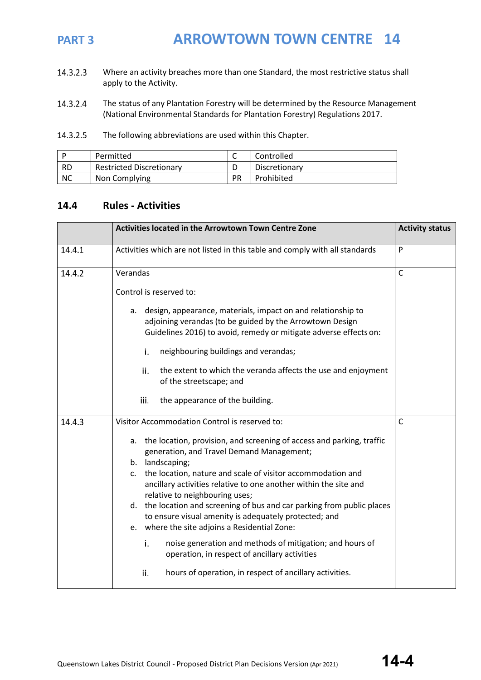- 14.3.2.3 Where an activity breaches more than one Standard, the most restrictive status shall apply to the Activity.
- 14.3.2.4 The status of any Plantation Forestry will be determined by the Resource Management (National Environmental Standards for Plantation Forestry) Regulations 2017.

#### 14.3.2.5 The following abbreviations are used within this Chapter.

|           | Permitted                       | ∼         | Controlled    |
|-----------|---------------------------------|-----------|---------------|
| <b>RD</b> | <b>Restricted Discretionary</b> |           | Discretionary |
| <b>NC</b> | Non Complying                   | <b>PR</b> | Prohibited    |

## **14.4 Rules - Activities**

|        | <b>Activities located in the Arrowtown Town Centre Zone</b>                                                                                                                                                                                                                                                                                                                                                                                                                                                                                                                                                                                                                                                  | <b>Activity status</b> |  |  |  |
|--------|--------------------------------------------------------------------------------------------------------------------------------------------------------------------------------------------------------------------------------------------------------------------------------------------------------------------------------------------------------------------------------------------------------------------------------------------------------------------------------------------------------------------------------------------------------------------------------------------------------------------------------------------------------------------------------------------------------------|------------------------|--|--|--|
| 14.4.1 | Activities which are not listed in this table and comply with all standards                                                                                                                                                                                                                                                                                                                                                                                                                                                                                                                                                                                                                                  | P                      |  |  |  |
| 14.4.2 | Verandas<br>$\mathsf{C}$<br>Control is reserved to:<br>a. design, appearance, materials, impact on and relationship to                                                                                                                                                                                                                                                                                                                                                                                                                                                                                                                                                                                       |                        |  |  |  |
|        | adjoining verandas (to be guided by the Arrowtown Design<br>Guidelines 2016) to avoid, remedy or mitigate adverse effects on:<br>i.<br>neighbouring buildings and verandas;                                                                                                                                                                                                                                                                                                                                                                                                                                                                                                                                  |                        |  |  |  |
|        | ii.<br>the extent to which the veranda affects the use and enjoyment<br>of the streetscape; and<br>iii.<br>the appearance of the building.                                                                                                                                                                                                                                                                                                                                                                                                                                                                                                                                                                   |                        |  |  |  |
| 14.4.3 | Visitor Accommodation Control is reserved to:                                                                                                                                                                                                                                                                                                                                                                                                                                                                                                                                                                                                                                                                | $\mathsf{C}$           |  |  |  |
|        | the location, provision, and screening of access and parking, traffic<br>а.<br>generation, and Travel Demand Management;<br>b. landscaping;<br>the location, nature and scale of visitor accommodation and<br>$\mathsf{C}$ .<br>ancillary activities relative to one another within the site and<br>relative to neighbouring uses;<br>d. the location and screening of bus and car parking from public places<br>to ensure visual amenity is adequately protected; and<br>e. where the site adjoins a Residential Zone:<br>noise generation and methods of mitigation; and hours of<br>i.<br>operation, in respect of ancillary activities<br>ii.<br>hours of operation, in respect of ancillary activities. |                        |  |  |  |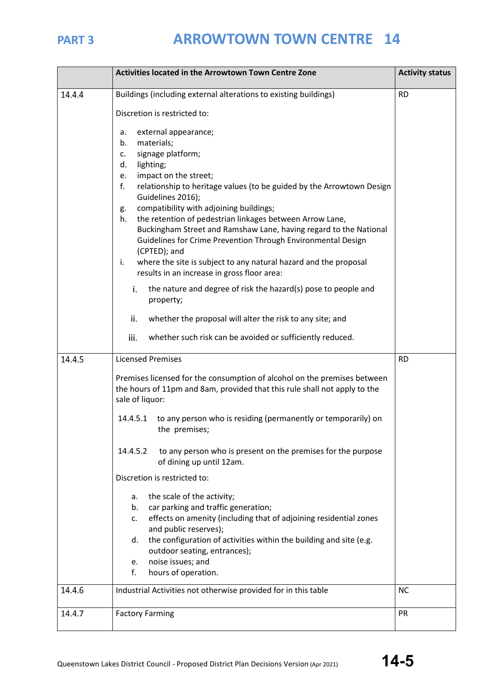|        | <b>Activities located in the Arrowtown Town Centre Zone</b><br><b>Activity status</b>                                                                                    |           |  |  |  |
|--------|--------------------------------------------------------------------------------------------------------------------------------------------------------------------------|-----------|--|--|--|
| 14.4.4 | Buildings (including external alterations to existing buildings)                                                                                                         | <b>RD</b> |  |  |  |
|        | Discretion is restricted to:                                                                                                                                             |           |  |  |  |
|        | external appearance;<br>a.                                                                                                                                               |           |  |  |  |
|        | materials;<br>b.                                                                                                                                                         |           |  |  |  |
|        | signage platform;<br>C.                                                                                                                                                  |           |  |  |  |
|        | d.<br>lighting;                                                                                                                                                          |           |  |  |  |
|        | impact on the street;<br>e.                                                                                                                                              |           |  |  |  |
|        | f.<br>relationship to heritage values (to be guided by the Arrowtown Design<br>Guidelines 2016);                                                                         |           |  |  |  |
|        | compatibility with adjoining buildings;<br>g.                                                                                                                            |           |  |  |  |
|        | the retention of pedestrian linkages between Arrow Lane,<br>h.                                                                                                           |           |  |  |  |
|        | Buckingham Street and Ramshaw Lane, having regard to the National                                                                                                        |           |  |  |  |
|        | Guidelines for Crime Prevention Through Environmental Design                                                                                                             |           |  |  |  |
|        | (CPTED); and                                                                                                                                                             |           |  |  |  |
|        | where the site is subject to any natural hazard and the proposal<br>i.<br>results in an increase in gross floor area:                                                    |           |  |  |  |
|        | the nature and degree of risk the hazard(s) pose to people and<br>i.<br>property;                                                                                        |           |  |  |  |
|        | ii.<br>whether the proposal will alter the risk to any site; and                                                                                                         |           |  |  |  |
|        | iii.<br>whether such risk can be avoided or sufficiently reduced.                                                                                                        |           |  |  |  |
| 14.4.5 | <b>Licensed Premises</b>                                                                                                                                                 | <b>RD</b> |  |  |  |
|        | Premises licensed for the consumption of alcohol on the premises between<br>the hours of 11pm and 8am, provided that this rule shall not apply to the<br>sale of liquor: |           |  |  |  |
|        | to any person who is residing (permanently or temporarily) on<br>14.4.5.1<br>the premises;                                                                               |           |  |  |  |
|        | 14.4.5.2<br>to any person who is present on the premises for the purpose<br>of dining up until 12am.                                                                     |           |  |  |  |
|        | Discretion is restricted to:                                                                                                                                             |           |  |  |  |
|        | the scale of the activity;<br>a.                                                                                                                                         |           |  |  |  |
|        | car parking and traffic generation;<br>b.                                                                                                                                |           |  |  |  |
|        | effects on amenity (including that of adjoining residential zones<br>c.                                                                                                  |           |  |  |  |
|        | and public reserves);                                                                                                                                                    |           |  |  |  |
|        | the configuration of activities within the building and site (e.g.<br>d.                                                                                                 |           |  |  |  |
|        | outdoor seating, entrances);<br>noise issues; and<br>e.                                                                                                                  |           |  |  |  |
|        | hours of operation.<br>f.                                                                                                                                                |           |  |  |  |
|        |                                                                                                                                                                          |           |  |  |  |
| 14.4.6 | Industrial Activities not otherwise provided for in this table                                                                                                           | <b>NC</b> |  |  |  |
| 14.4.7 | <b>Factory Farming</b>                                                                                                                                                   | <b>PR</b> |  |  |  |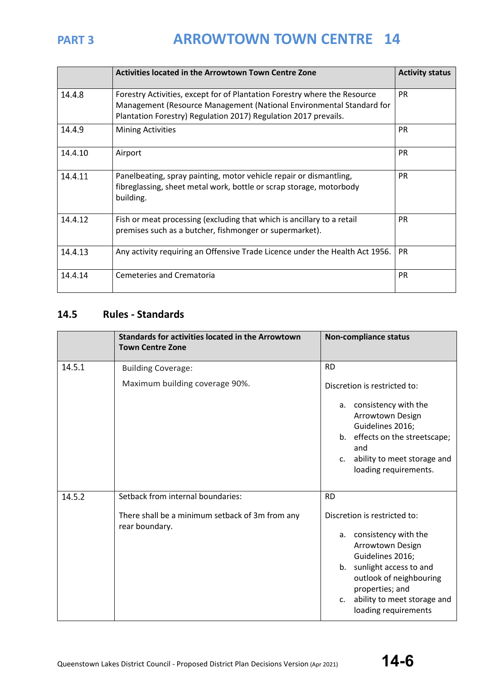|         | <b>Activities located in the Arrowtown Town Centre Zone</b>                                                                                                                                                                       | <b>Activity status</b> |  |  |
|---------|-----------------------------------------------------------------------------------------------------------------------------------------------------------------------------------------------------------------------------------|------------------------|--|--|
| 14.4.8  | <b>PR</b><br>Forestry Activities, except for of Plantation Forestry where the Resource<br>Management (Resource Management (National Environmental Standard for<br>Plantation Forestry) Regulation 2017) Regulation 2017 prevails. |                        |  |  |
| 14.4.9  | <b>Mining Activities</b>                                                                                                                                                                                                          | <b>PR</b>              |  |  |
| 14.4.10 | Airport                                                                                                                                                                                                                           | <b>PR</b>              |  |  |
| 14.4.11 | Panelbeating, spray painting, motor vehicle repair or dismantling,<br>fibreglassing, sheet metal work, bottle or scrap storage, motorbody<br>building.                                                                            | <b>PR</b>              |  |  |
| 14.4.12 | Fish or meat processing (excluding that which is ancillary to a retail<br>premises such as a butcher, fishmonger or supermarket).                                                                                                 |                        |  |  |
| 14.4.13 | Any activity requiring an Offensive Trade Licence under the Health Act 1956.                                                                                                                                                      | <b>PR</b>              |  |  |
| 14.4.14 | Cemeteries and Crematoria                                                                                                                                                                                                         |                        |  |  |

## **14.5 Rules - Standards**

|        | <b>Standards for activities located in the Arrowtown</b><br><b>Town Centre Zone</b>                    | <b>Non-compliance status</b>                                                                                                                                                                                                                                  |
|--------|--------------------------------------------------------------------------------------------------------|---------------------------------------------------------------------------------------------------------------------------------------------------------------------------------------------------------------------------------------------------------------|
| 14.5.1 | <b>Building Coverage:</b>                                                                              | <b>RD</b>                                                                                                                                                                                                                                                     |
|        | Maximum building coverage 90%.                                                                         | Discretion is restricted to:<br>a. consistency with the<br>Arrowtown Design<br>Guidelines 2016;<br>b. effects on the streetscape;<br>and<br>ability to meet storage and<br>C <sub>1</sub><br>loading requirements.                                            |
| 14.5.2 | Setback from internal boundaries:<br>There shall be a minimum setback of 3m from any<br>rear boundary. | <b>RD</b><br>Discretion is restricted to:<br>a. consistency with the<br>Arrowtown Design<br>Guidelines 2016;<br>b. sunlight access to and<br>outlook of neighbouring<br>properties; and<br>ability to meet storage and<br>$c_{\cdot}$<br>loading requirements |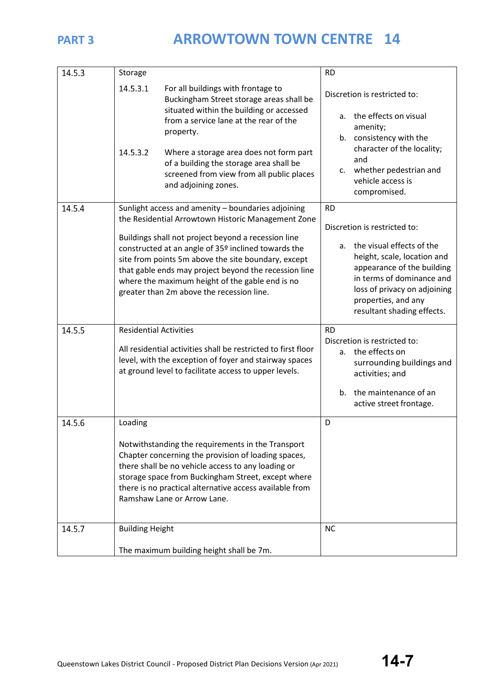| 14.5.3 | Storage                                                                                                                                                                                                                                                                                                                                                                                                                                | <b>RD</b>                                                                                                                                                                                                                                                |
|--------|----------------------------------------------------------------------------------------------------------------------------------------------------------------------------------------------------------------------------------------------------------------------------------------------------------------------------------------------------------------------------------------------------------------------------------------|----------------------------------------------------------------------------------------------------------------------------------------------------------------------------------------------------------------------------------------------------------|
|        | 14.5.3.1<br>For all buildings with frontage to<br>Buckingham Street storage areas shall be<br>situated within the building or accessed<br>from a service lane at the rear of the<br>property.<br>14.5.3.2<br>Where a storage area does not form part<br>of a building the storage area shall be<br>screened from view from all public places<br>and adjoining zones.                                                                   | Discretion is restricted to:<br>a. the effects on visual<br>amenity;<br>b. consistency with the<br>character of the locality;<br>and<br>c. whether pedestrian and<br>vehicle access is<br>compromised.                                                   |
| 14.5.4 | Sunlight access and amenity - boundaries adjoining<br>the Residential Arrowtown Historic Management Zone<br>Buildings shall not project beyond a recession line<br>constructed at an angle of 35º inclined towards the<br>site from points 5m above the site boundary, except<br>that gable ends may project beyond the recession line<br>where the maximum height of the gable end is no<br>greater than 2m above the recession line. | <b>RD</b><br>Discretion is restricted to:<br>a. the visual effects of the<br>height, scale, location and<br>appearance of the building<br>in terms of dominance and<br>loss of privacy on adjoining<br>properties, and any<br>resultant shading effects. |
| 14.5.5 | <b>Residential Activities</b><br>All residential activities shall be restricted to first floor<br>level, with the exception of foyer and stairway spaces<br>at ground level to facilitate access to upper levels.                                                                                                                                                                                                                      | <b>RD</b><br>Discretion is restricted to:<br>a. the effects on<br>surrounding buildings and<br>activities; and<br>b. the maintenance of an<br>active street frontage.                                                                                    |
| 14.5.6 | Loading<br>Notwithstanding the requirements in the Transport<br>Chapter concerning the provision of loading spaces,<br>there shall be no vehicle access to any loading or<br>storage space from Buckingham Street, except where<br>there is no practical alternative access available from<br>Ramshaw Lane or Arrow Lane.                                                                                                              | D                                                                                                                                                                                                                                                        |
| 14.5.7 | <b>Building Height</b><br>The maximum building height shall be 7m.                                                                                                                                                                                                                                                                                                                                                                     | <b>NC</b>                                                                                                                                                                                                                                                |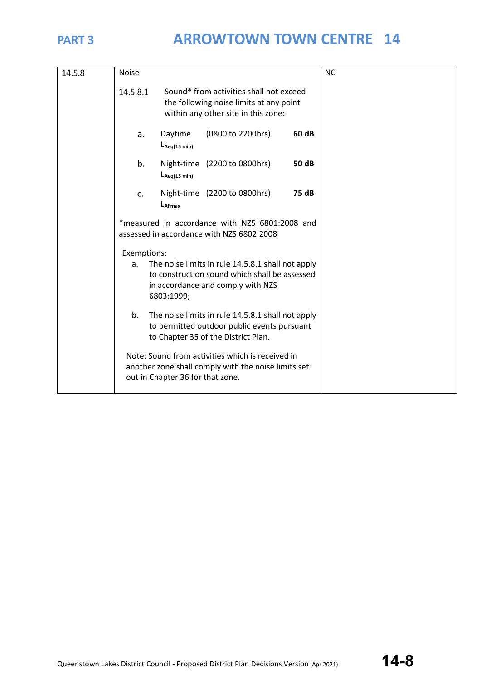| 14.5.8 | <b>Noise</b>                                                                                                                                  |                                                                                                                           |                                                                                                                                         | <b>NC</b> |  |
|--------|-----------------------------------------------------------------------------------------------------------------------------------------------|---------------------------------------------------------------------------------------------------------------------------|-----------------------------------------------------------------------------------------------------------------------------------------|-----------|--|
|        | 14.5.8.1                                                                                                                                      | Sound* from activities shall not exceed<br>the following noise limits at any point<br>within any other site in this zone: |                                                                                                                                         |           |  |
|        | a.                                                                                                                                            | Daytime<br>$L_{Aeq(15 min)}$                                                                                              | (0800 to 2200hrs)                                                                                                                       | 60 dB     |  |
|        | b.                                                                                                                                            | $L_{Aeq(15 min)}$                                                                                                         | Night-time (2200 to 0800hrs)                                                                                                            | 50 dB     |  |
|        | c.                                                                                                                                            | LAFmax                                                                                                                    | Night-time (2200 to 0800hrs)                                                                                                            | 75 dB     |  |
|        |                                                                                                                                               |                                                                                                                           | *measured in accordance with NZS 6801:2008 and<br>assessed in accordance with NZS 6802:2008                                             |           |  |
|        | Exemptions:<br>a.                                                                                                                             | 6803:1999;                                                                                                                | The noise limits in rule 14.5.8.1 shall not apply<br>to construction sound which shall be assessed<br>in accordance and comply with NZS |           |  |
|        | b.<br>The noise limits in rule 14.5.8.1 shall not apply<br>to permitted outdoor public events pursuant<br>to Chapter 35 of the District Plan. |                                                                                                                           |                                                                                                                                         |           |  |
|        | Note: Sound from activities which is received in<br>another zone shall comply with the noise limits set<br>out in Chapter 36 for that zone.   |                                                                                                                           |                                                                                                                                         |           |  |